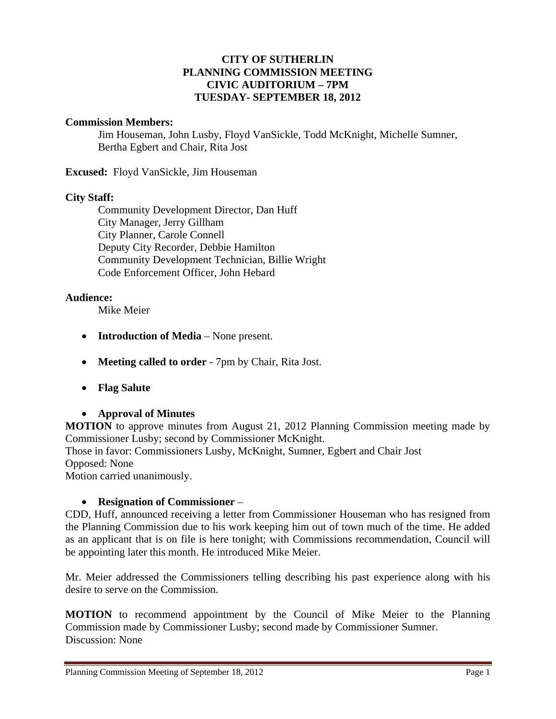### **CITY OF SUTHERLIN PLANNING COMMISSION MEETING CIVIC AUDITORIUM – 7PM TUESDAY- SEPTEMBER 18, 2012**

#### **Commission Members:**

Jim Houseman, John Lusby, Floyd VanSickle, Todd McKnight, Michelle Sumner, Bertha Egbert and Chair, Rita Jost

**Excused:** Floyd VanSickle, Jim Houseman

### **City Staff:**

 Community Development Director, Dan Huff City Manager, Jerry Gillham City Planner, Carole Connell Deputy City Recorder, Debbie Hamilton Community Development Technician, Billie Wright Code Enforcement Officer, John Hebard

### **Audience:**

Mike Meier

- **Introduction of Media** None present.
- **Meeting called to order** 7pm by Chair, Rita Jost.
- **Flag Salute**

## **Approval of Minutes**

**MOTION** to approve minutes from August 21, 2012 Planning Commission meeting made by Commissioner Lusby; second by Commissioner McKnight.

Those in favor: Commissioners Lusby, McKnight, Sumner, Egbert and Chair Jost Opposed: None

Motion carried unanimously.

## **Resignation of Commissioner** –

CDD, Huff, announced receiving a letter from Commissioner Houseman who has resigned from the Planning Commission due to his work keeping him out of town much of the time. He added as an applicant that is on file is here tonight; with Commissions recommendation, Council will be appointing later this month. He introduced Mike Meier.

Mr. Meier addressed the Commissioners telling describing his past experience along with his desire to serve on the Commission.

**MOTION** to recommend appointment by the Council of Mike Meier to the Planning Commission made by Commissioner Lusby; second made by Commissioner Sumner. Discussion: None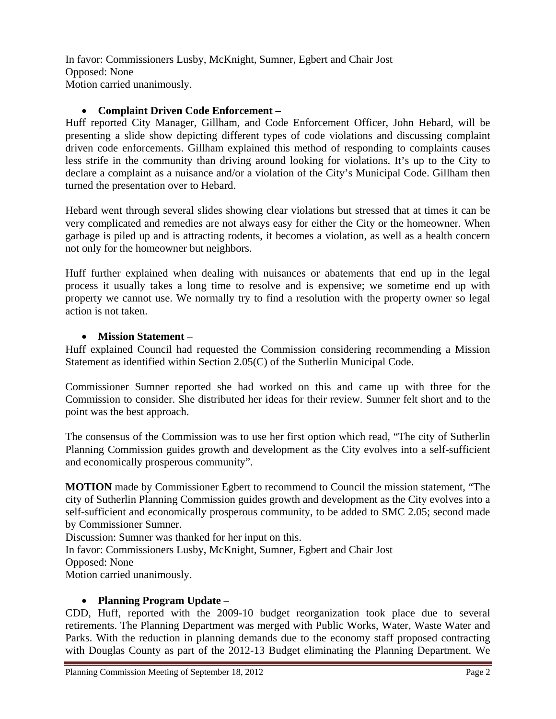In favor: Commissioners Lusby, McKnight, Sumner, Egbert and Chair Jost Opposed: None Motion carried unanimously.

## **Complaint Driven Code Enforcement –**

Huff reported City Manager, Gillham, and Code Enforcement Officer, John Hebard, will be presenting a slide show depicting different types of code violations and discussing complaint driven code enforcements. Gillham explained this method of responding to complaints causes less strife in the community than driving around looking for violations. It's up to the City to declare a complaint as a nuisance and/or a violation of the City's Municipal Code. Gillham then turned the presentation over to Hebard.

Hebard went through several slides showing clear violations but stressed that at times it can be very complicated and remedies are not always easy for either the City or the homeowner. When garbage is piled up and is attracting rodents, it becomes a violation, as well as a health concern not only for the homeowner but neighbors.

Huff further explained when dealing with nuisances or abatements that end up in the legal process it usually takes a long time to resolve and is expensive; we sometime end up with property we cannot use. We normally try to find a resolution with the property owner so legal action is not taken.

## **Mission Statement** –

Huff explained Council had requested the Commission considering recommending a Mission Statement as identified within Section 2.05(C) of the Sutherlin Municipal Code.

Commissioner Sumner reported she had worked on this and came up with three for the Commission to consider. She distributed her ideas for their review. Sumner felt short and to the point was the best approach.

The consensus of the Commission was to use her first option which read, "The city of Sutherlin Planning Commission guides growth and development as the City evolves into a self-sufficient and economically prosperous community".

**MOTION** made by Commissioner Egbert to recommend to Council the mission statement, "The city of Sutherlin Planning Commission guides growth and development as the City evolves into a self-sufficient and economically prosperous community, to be added to SMC 2.05; second made by Commissioner Sumner.

Discussion: Sumner was thanked for her input on this.

In favor: Commissioners Lusby, McKnight, Sumner, Egbert and Chair Jost

Opposed: None

Motion carried unanimously.

# **Planning Program Update** –

CDD, Huff, reported with the 2009-10 budget reorganization took place due to several retirements. The Planning Department was merged with Public Works, Water, Waste Water and Parks. With the reduction in planning demands due to the economy staff proposed contracting with Douglas County as part of the 2012-13 Budget eliminating the Planning Department. We